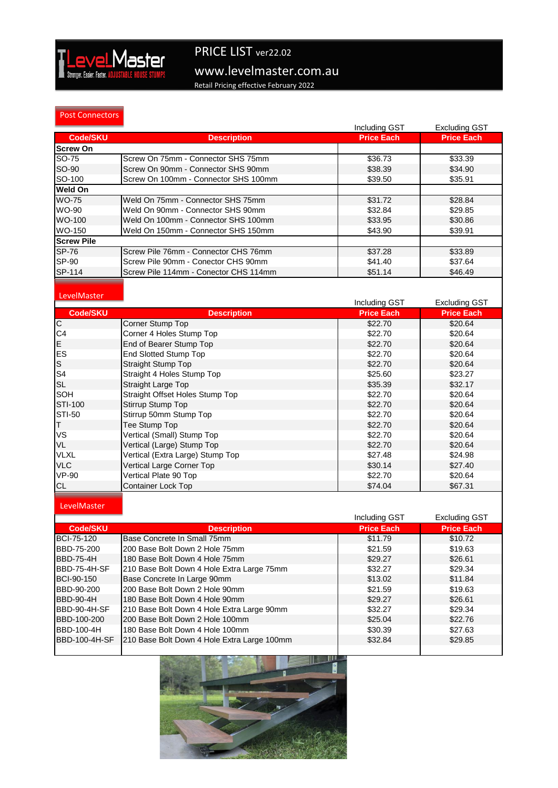

# www.levelmaster.com.au PRICE LIST ver22.02

Retail Pricing effective February 2022

#### Post Connectors

|                   |                                       | Including GST     | <b>Excluding GST</b> |
|-------------------|---------------------------------------|-------------------|----------------------|
| <b>Code/SKU</b>   | <b>Description</b>                    | <b>Price Each</b> | <b>Price Each</b>    |
| <b>Screw On</b>   |                                       |                   |                      |
| SO-75             | Screw On 75mm - Connector SHS 75mm    | \$36.73           | \$33.39              |
| SO-90             | Screw On 90mm - Connector SHS 90mm    | \$38.39           | \$34.90              |
| SO-100            | Screw On 100mm - Connector SHS 100mm  | \$39.50           | \$35.91              |
| <b>Weld On</b>    |                                       |                   |                      |
| <b>WO-75</b>      | Weld On 75mm - Connector SHS 75mm     | \$31.72           | \$28.84              |
| WO-90             | Weld On 90mm - Connector SHS 90mm     | \$32.84           | \$29.85              |
| WO-100            | Weld On 100mm - Connector SHS 100mm   | \$33.95           | \$30.86              |
| WO-150            | Weld On 150mm - Connector SHS 150mm   | \$43.90           | \$39.91              |
| <b>Screw Pile</b> |                                       |                   |                      |
| <b>SP-76</b>      | Screw Pile 76mm - Connector CHS 76mm  | \$37.28           | \$33.89              |
| SP-90             | Screw Pile 90mm - Conector CHS 90mm   | \$41.40           | \$37.64              |
| SP-114            | Screw Pile 114mm - Conector CHS 114mm | \$51.14           | \$46.49              |
|                   |                                       |                   |                      |

#### **LevelMaster**

|                |                                  | Including GST     | <b>Excluding GST</b> |
|----------------|----------------------------------|-------------------|----------------------|
| Code/SKU       | <b>Description</b>               | <b>Price Each</b> | <b>Price Each</b>    |
| $\overline{C}$ | Corner Stump Top                 | \$22.70           | \$20.64              |
| C <sub>4</sub> | Corner 4 Holes Stump Top         | \$22.70           | \$20.64              |
| E              | End of Bearer Stump Top          | \$22.70           | \$20.64              |
| <b>ES</b>      | <b>End Slotted Stump Top</b>     | \$22.70           | \$20.64              |
| ls             | Straight Stump Top               | \$22.70           | \$20.64              |
| S <sub>4</sub> | Straight 4 Holes Stump Top       | \$25.60           | \$23.27              |
| <b>SL</b>      | <b>Straight Large Top</b>        | \$35.39           | \$32.17              |
| <b>SOH</b>     | Straight Offset Holes Stump Top  | \$22.70           | \$20.64              |
| <b>STI-100</b> | Stirrup Stump Top                | \$22.70           | \$20.64              |
| <b>STI-50</b>  | Stirrup 50mm Stump Top           | \$22.70           | \$20.64              |
| T              | Tee Stump Top                    | \$22.70           | \$20.64              |
| VS             | Vertical (Small) Stump Top       | \$22.70           | \$20.64              |
| <b>VL</b>      | Vertical (Large) Stump Top       | \$22.70           | \$20.64              |
| <b>VLXL</b>    | Vertical (Extra Large) Stump Top | \$27.48           | \$24.98              |
| <b>VLC</b>     | Vertical Large Corner Top        | \$30.14           | \$27.40              |
| <b>VP-90</b>   | Vertical Plate 90 Top            | \$22.70           | \$20.64              |
| <b>CL</b>      | <b>Container Lock Top</b>        | \$74.04           | \$67.31              |

### LevelMaster

|                     |                                             | Including GST     | <b>Excluding GST</b> |
|---------------------|---------------------------------------------|-------------------|----------------------|
| Code/SKU            | <b>Description</b>                          | <b>Price Each</b> | <b>Price Each</b>    |
| <b>BCI-75-120</b>   | Base Concrete In Small 75mm                 | \$11.79           | \$10.72              |
| BBD-75-200          | 200 Base Bolt Down 2 Hole 75mm              | \$21.59           | \$19.63              |
| <b>BBD-75-4H</b>    | 180 Base Bolt Down 4 Hole 75mm              | \$29.27           | \$26.61              |
| BBD-75-4H-SF        | 210 Base Bolt Down 4 Hole Extra Large 75mm  | \$32.27           | \$29.34              |
| <b>BCI-90-150</b>   | Base Concrete In Large 90mm                 | \$13.02           | \$11.84              |
| BBD-90-200          | 200 Base Bolt Down 2 Hole 90mm              | \$21.59           | \$19.63              |
| <b>BBD-90-4H</b>    | 180 Base Bolt Down 4 Hole 90mm              | \$29.27           | \$26.61              |
| <b>BBD-90-4H-SF</b> | 210 Base Bolt Down 4 Hole Extra Large 90mm  | \$32.27           | \$29.34              |
| BBD-100-200         | 200 Base Bolt Down 2 Hole 100mm             | \$25.04           | \$22.76              |
| BBD-100-4H          | 180 Base Bolt Down 4 Hole 100mm             | \$30.39           | \$27.63              |
| BBD-100-4H-SF       | 210 Base Bolt Down 4 Hole Extra Large 100mm | \$32.84           | \$29.85              |
|                     |                                             |                   |                      |